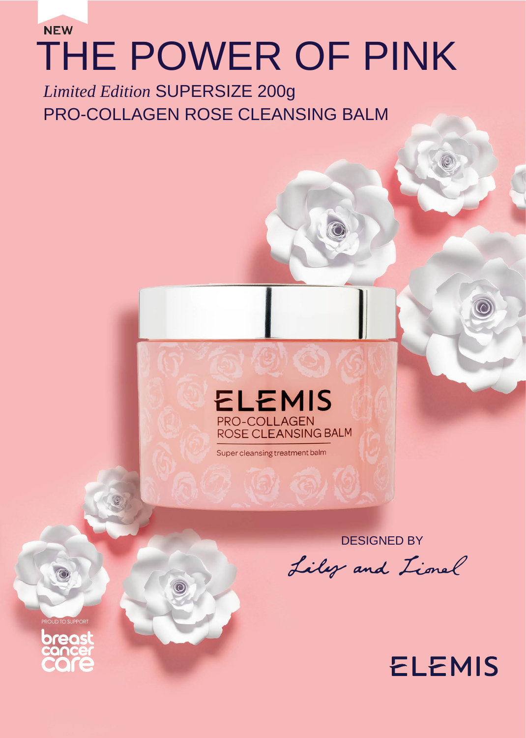# **NEW** THE POWER OF PINK

*Limited Edition* SUPERSIZE 200g PRO-COLLAGEN ROSE CLEANSING BALM



Super cleansing treatment balm

DESIGNED BY

Liley and Lional

**ELEMIS** 

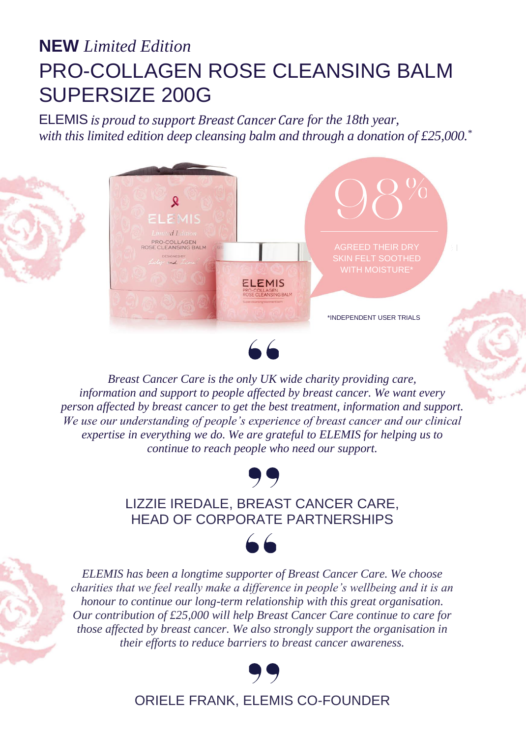### **NEW** *Limited Edition* PRO-COLLAGEN ROSE CLEANSING BALM SUPERSIZE 200G

ELEMIS *is proud to support Breast Cancer Care for the 18th year, with this limited edition deep cleansing balm and through a donation of £25,000.\**





*Breast Cancer Care is the only UK wide charity providing care, information and support to people affected by breast cancer. We want every person affected by breast cancer to get the best treatment, information and support. We use our understanding of people's experience of breast cancer and our clinical expertise in everything we do. We are grateful to ELEMIS for helping us to continue to reach people who need our support.*



#### LIZZIE IREDALE, BREAST CANCER CARE, HEAD OF CORPORATE PARTNERSHIPS

 $66$ 

*ELEMIS has been a longtime supporter of Breast Cancer Care. We choose charities that we feel really make a difference in people's wellbeing and it is an honour to continue our long-term relationship with this great organisation. Our contribution of £25,000 will help Breast Cancer Care continue to care for those affected by breast cancer. We also strongly support the organisation in their efforts to reduce barriers to breast cancer awareness.*



ORIELE FRANK, ELEMIS CO-FOUNDER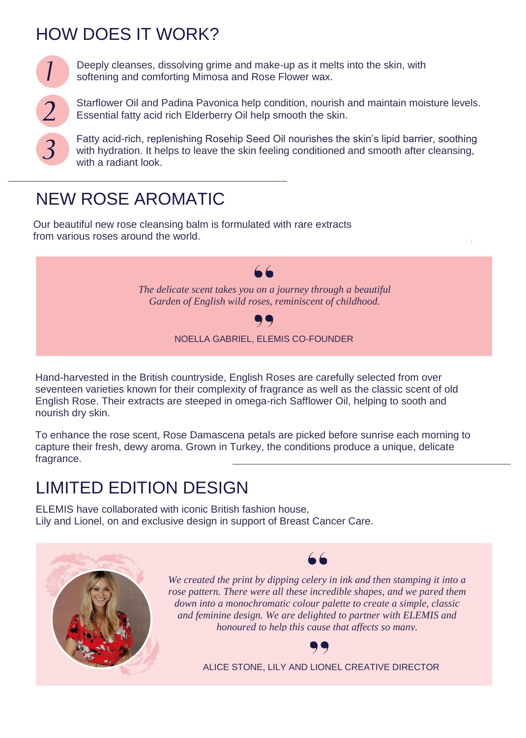#### HOW DOES IT WORK?



Deeply cleanses, dissolving grime and make-up as it melts into the skin, with softening and comforting Mimosa and Rose Flower wax.

Starflower Oil and Padina Pavonica help condition, nourish and maintain moisture levels. Essential fatty acid rich Elderberry Oil help smooth the skin.

Fatty acid-rich, replenishing Rosehip Seed Oil nourishes the skin's lipid barrier, soothing with hydration. It helps to leave the skin feeling conditioned and smooth after cleansing, with a radiant look.

#### NEW ROSE AROMATIC

Our beautiful new rose cleansing balm is formulated with rare extracts from various roses around the world.



Hand-harvested in the British countryside, English Roses are carefully selected from over seventeen varieties known for their complexity of fragrance as well as the classic scent of old English Rose. Their extracts are steeped in omega-rich Safflower Oil, helping to sooth and nourish dry skin.

To enhance the rose scent, Rose Damascena petals are picked before sunrise each morning to capture their fresh, dewy aroma. Grown in Turkey, the conditions produce a unique, delicate fragrance.

#### LIMITED EDITION DESIGN

ELEMIS have collaborated with iconic British fashion house, Lily and Lionel, on and exclusive design in support of Breast Cancer Care.





*We created the print by dipping celery in ink and then stamping it into a rose pattern. There were all these incredible shapes, and we pared them down into a monochromatic colour palette to create a simple, classic and feminine design. We are delighted to partner with ELEMIS and honoured to help this cause that affects so many.*



ALICE STONE, LILY AND LIONEL CREATIVE DIRECTOR